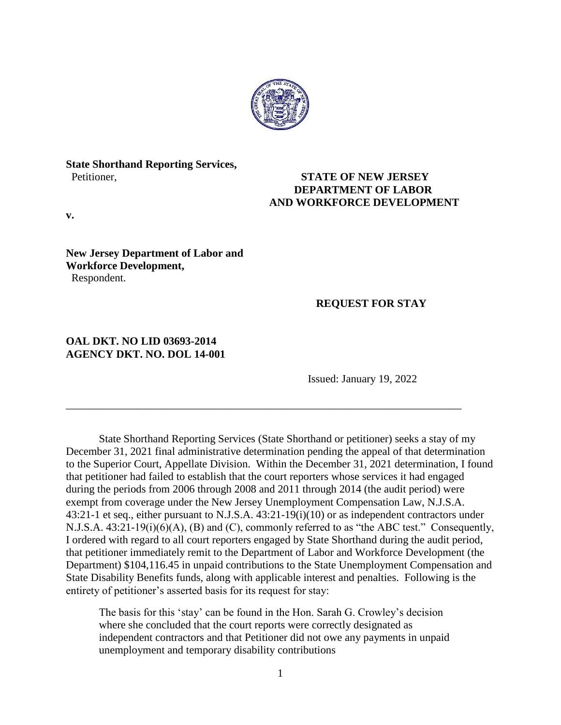

# **State Shorthand Reporting Services,**

## Petitioner, **STATE OF NEW JERSEY DEPARTMENT OF LABOR AND WORKFORCE DEVELOPMENT**

**v.**

### **New Jersey Department of Labor and Workforce Development,** Respondent.

# **REQUEST FOR STAY**

## **OAL DKT. NO LID 03693-2014 AGENCY DKT. NO. DOL 14-001**

Issued: January 19, 2022

State Shorthand Reporting Services (State Shorthand or petitioner) seeks a stay of my December 31, 2021 final administrative determination pending the appeal of that determination to the Superior Court, Appellate Division. Within the December 31, 2021 determination, I found that petitioner had failed to establish that the court reporters whose services it had engaged during the periods from 2006 through 2008 and 2011 through 2014 (the audit period) were exempt from coverage under the New Jersey Unemployment Compensation Law, N.J.S.A. 43:21-1 et seq., either pursuant to N.J.S.A. 43:21-19(i)(10) or as independent contractors under N.J.S.A. 43:21-19(i)(6)(A), (B) and (C), commonly referred to as "the ABC test." Consequently, I ordered with regard to all court reporters engaged by State Shorthand during the audit period, that petitioner immediately remit to the Department of Labor and Workforce Development (the Department) \$104,116.45 in unpaid contributions to the State Unemployment Compensation and State Disability Benefits funds, along with applicable interest and penalties. Following is the entirety of petitioner's asserted basis for its request for stay:

\_\_\_\_\_\_\_\_\_\_\_\_\_\_\_\_\_\_\_\_\_\_\_\_\_\_\_\_\_\_\_\_\_\_\_\_\_\_\_\_\_\_\_\_\_\_\_\_\_\_\_\_\_\_\_\_\_\_\_\_\_\_\_\_\_\_\_\_\_\_\_\_

The basis for this 'stay' can be found in the Hon. Sarah G. Crowley's decision where she concluded that the court reports were correctly designated as independent contractors and that Petitioner did not owe any payments in unpaid unemployment and temporary disability contributions